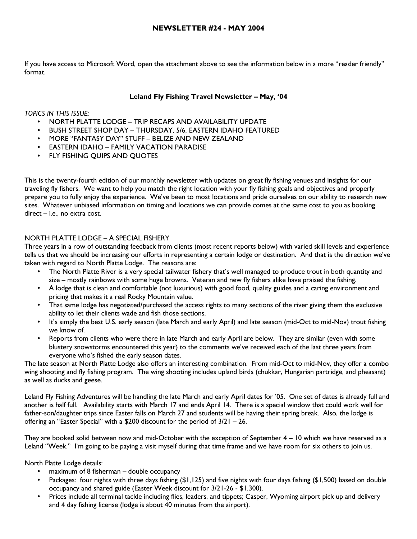If you have access to Microsoft Word, open the attachment above to see the information below in a more "reader friendly" format.

# Leland Fly Fishing Travel Newsletter – May, '04

TOPICS IN THIS ISSUE:

- NORTH PLATTE LODGE TRIP RECAPS AND AVAILABILITY UPDATE
- BUSH STREET SHOP DAY THURSDAY, 5/6, EASTERN IDAHO FEATURED
- MORE "FANTASY DAY" STUFF BELIZE AND NEW ZEALAND
- EASTERN IDAHO FAMILY VACATION PARADISE
- **FLY FISHING QUIPS AND QUOTES**

This is the twenty-fourth edition of our monthly newsletter with updates on great fly fishing venues and insights for our traveling fly fishers. We want to help you match the right location with your fly fishing goals and objectives and properly prepare you to fully enjoy the experience. We've been to most locations and pride ourselves on our ability to research new sites. Whatever unbiased information on timing and locations we can provide comes at the same cost to you as booking direct – i.e., no extra cost.

# NORTH PLATTE LODGE – A SPECIAL FISHERY

Three years in a row of outstanding feedback from clients (most recent reports below) with varied skill levels and experience tells us that we should be increasing our efforts in representing a certain lodge or destination. And that is the direction we've taken with regard to North Platte Lodge. The reasons are:

- The North Platte River is a very special tailwater fishery that's well managed to produce trout in both quantity and size – mostly rainbows with some huge browns. Veteran and new fly fishers alike have praised the fishing.
- A lodge that is clean and comfortable (not luxurious) with good food, quality guides and a caring environment and pricing that makes it a real Rocky Mountain value.
- That same lodge has negotiated/purchased the access rights to many sections of the river giving them the exclusive ability to let their clients wade and fish those sections.
- It's simply the best U.S. early season (late March and early April) and late season (mid-Oct to mid-Nov) trout fishing we know of.
- Reports from clients who were there in late March and early April are below. They are similar (even with some blustery snowstorms encountered this year) to the comments we've received each of the last three years from everyone who's fished the early season dates.

The late season at North Platte Lodge also offers an interesting combination. From mid-Oct to mid-Nov, they offer a combo wing shooting and fly fishing program. The wing shooting includes upland birds (chukkar, Hungarian partridge, and pheasant) as well as ducks and geese.

Leland Fly Fishing Adventures will be handling the late March and early April dates for '05. One set of dates is already full and another is half full. Availability starts with March 17 and ends April 14. There is a special window that could work well for father-son/daughter trips since Easter falls on March 27 and students will be having their spring break. Also, the lodge is offering an "Easter Special" with a \$200 discount for the period of 3/21 – 26.

They are booked solid between now and mid-October with the exception of September 4 – 10 which we have reserved as a Leland "Week." I'm going to be paying a visit myself during that time frame and we have room for six others to join us.

North Platte Lodge details:

- maximum of 8 fisherman double occupancy
- Packages: four nights with three days fishing (\$1,125) and five nights with four days fishing (\$1,500) based on double occupancy and shared guide (Easter Week discount for 3/21-26 - \$1,300).
- Prices include all terminal tackle including flies, leaders, and tippets; Casper, Wyoming airport pick up and delivery and 4 day fishing license (lodge is about 40 minutes from the airport).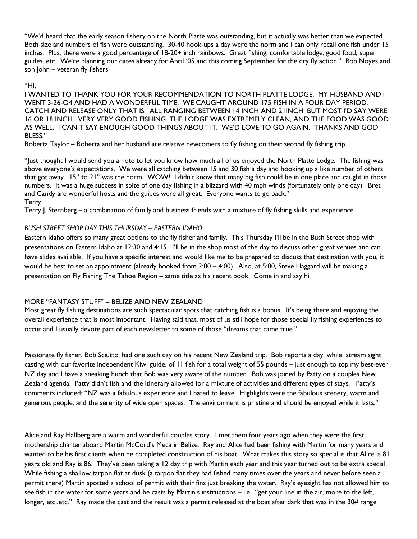"We'd heard that the early season fishery on the North Platte was outstanding, but it actually was better than we expected. Both size and numbers of fish were outstanding. 30-40 hook-ups a day were the norm and I can only recall one fish under 15 inches. Plus, there were a good percentage of 18-20+ inch rainbows. Great fishing, comfortable lodge, good food, super guides, etc. We're planning our dates already for April '05 and this coming September for the dry fly action." Bob Noyes and son John – veteran fly fishers

#### "HI,

I WANTED TO THANK YOU FOR YOUR RECOMMENDATION TO NORTH PLATTE LODGE. MY HUSBAND AND I WENT 3-26-O4 AND HAD A WONDERFUL TIME. WE CAUGHT AROUND 175 FISH IN A FOUR DAY PERIOD. CATCH AND RELEASE ONLY THAT IS. ALL RANGING BETWEEN 14 INCH AND 21INCH, BUT MOST I'D SAY WERE 16 OR 18 INCH. VERY VERY GOOD FISHING. THE LODGE WAS EXTREMELY CLEAN, AND THE FOOD WAS GOOD AS WELL. I CAN'T SAY ENOUGH GOOD THINGS ABOUT IT. WE'D LOVE TO GO AGAIN. THANKS AND GOD BLESS."

Roberta Taylor – Roberta and her husband are relative newcomers to fly fishing on their second fly fishing trip

"Just thought I would send you a note to let you know how much all of us enjoyed the North Platte Lodge. The fishing was above everyone's expectations. We were all catching between 15 and 30 fish a day and hooking up a like number of others that got away. 15" to 21" was the norm. WOW! I didn't know that many big fish could be in one place and caught in those numbers. It was a huge success in spite of one day fishing in a blizzard with 40 mph winds (fortunately only one day). Bret and Candy are wonderful hosts and the guides were all great. Everyone wants to go back." **Terry** 

Terry J. Sternberg – a combination of family and business friends with a mixture of fly fishing skills and experience.

# BUSH STREET SHOP DAY THIS THURSDAY – EASTERN IDAHO

Eastern Idaho offers so many great options to the fly fisher and family. This Thursday I'll be in the Bush Street shop with presentations on Eastern Idaho at 12:30 and 4:15. I'll be in the shop most of the day to discuss other great venues and can have slides available. If you have a specific interest and would like me to be prepared to discuss that destination with you, it would be best to set an appointment (already booked from 2:00 – 4:00). Also, at 5:00, Steve Haggard will be making a presentation on Fly Fishing The Tahoe Region – same title as his recent book. Come in and say hi.

# MORE "FANTASY STUFF" – BELIZE AND NEW ZEALAND

Most great fly fishing destinations are such spectacular spots that catching fish is a bonus. It's being there and enjoying the overall experience that is most important. Having said that, most of us still hope for those special fly fishing experiences to occur and I usually devote part of each newsletter to some of those "dreams that came true."

Passionate fly fisher, Bob Sciutto, had one such day on his recent New Zealand trip. Bob reports a day, while stream sight casting with our favorite independent Kiwi guide, of 11 fish for a total weight of 55 pounds – just enough to top my best-ever NZ day and I have a sneaking hunch that Bob was very aware of the number. Bob was joined by Patty on a couples New Zealand agenda. Patty didn't fish and the itinerary allowed for a mixture of activities and different types of stays. Patty's comments included: "NZ was a fabulous experience and I hated to leave. Highlights were the fabulous scenery, warm and generous people, and the serenity of wide open spaces. The environment is pristine and should be enjoyed while it lasts."

Alice and Ray Hallberg are a warm and wonderful couples story. I met them four years ago when they were the first mothership charter aboard Martin McCord's Meca in Belize. Ray and Alice had been fishing with Martin for many years and wanted to be his first clients when he completed construction of his boat. What makes this story so special is that Alice is 81 years old and Ray is 86. They've been taking a 12 day trip with Martin each year and this year turned out to be extra special. While fishing a shallow tarpon flat at dusk (a tarpon flat they had fished many times over the years and never before seen a permit there) Martin spotted a school of permit with their fins just breaking the water. Ray's eyesight has not allowed him to see fish in the water for some years and he casts by Martin's instructions – i.e., "get your line in the air, more to the left, longer, etc.,etc." Ray made the cast and the result was a permit released at the boat after dark that was in the 30# range.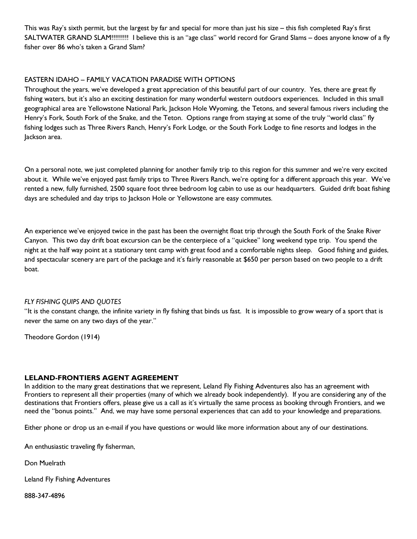This was Ray's sixth permit, but the largest by far and special for more than just his size – this fish completed Ray's first SALTWATER GRAND SLAM!!!!!!!!! I believe this is an "age class" world record for Grand Slams – does anyone know of a fly fisher over 86 who's taken a Grand Slam?

# EASTERN IDAHO – FAMILY VACATION PARADISE WITH OPTIONS

Throughout the years, we've developed a great appreciation of this beautiful part of our country. Yes, there are great fly fishing waters, but it's also an exciting destination for many wonderful western outdoors experiences. Included in this small geographical area are Yellowstone National Park, Jackson Hole Wyoming, the Tetons, and several famous rivers including the Henry's Fork, South Fork of the Snake, and the Teton. Options range from staying at some of the truly "world class" fly fishing lodges such as Three Rivers Ranch, Henry's Fork Lodge, or the South Fork Lodge to fine resorts and lodges in the Jackson area.

On a personal note, we just completed planning for another family trip to this region for this summer and we're very excited about it. While we've enjoyed past family trips to Three Rivers Ranch, we're opting for a different approach this year. We've rented a new, fully furnished, 2500 square foot three bedroom log cabin to use as our headquarters. Guided drift boat fishing days are scheduled and day trips to Jackson Hole or Yellowstone are easy commutes.

An experience we've enjoyed twice in the past has been the overnight float trip through the South Fork of the Snake River Canyon. This two day drift boat excursion can be the centerpiece of a "quickee" long weekend type trip. You spend the night at the half way point at a stationary tent camp with great food and a comfortable nights sleep. Good fishing and guides, and spectacular scenery are part of the package and it's fairly reasonable at \$650 per person based on two people to a drift boat.

#### FLY FISHING QUIPS AND QUOTES

"It is the constant change, the infinite variety in fly fishing that binds us fast. It is impossible to grow weary of a sport that is never the same on any two days of the year."

Theodore Gordon (1914)

#### LELAND-FRONTIERS AGENT AGREEMENT

In addition to the many great destinations that we represent, Leland Fly Fishing Adventures also has an agreement with Frontiers to represent all their properties (many of which we already book independently). If you are considering any of the destinations that Frontiers offers, please give us a call as it's virtually the same process as booking through Frontiers, and we need the "bonus points." And, we may have some personal experiences that can add to your knowledge and preparations.

Either phone or drop us an e-mail if you have questions or would like more information about any of our destinations.

An enthusiastic traveling fly fisherman,

Don Muelrath

Leland Fly Fishing Adventures

888-347-4896